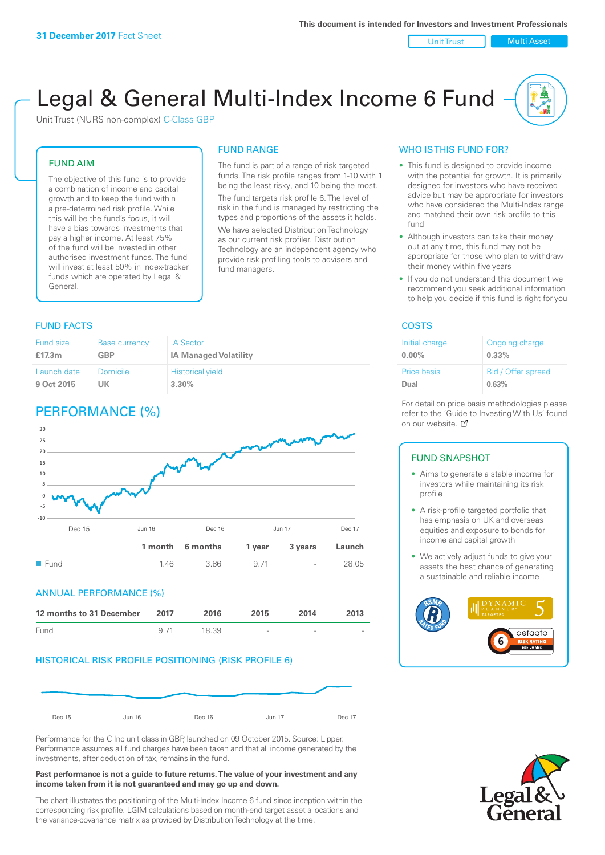Unit Trust | Multi Asset

# Legal & General Multi-Index Income 6 Fund

Unit Trust (NURS non-complex) C-Class GBP

#### FUND AIM

The objective of this fund is to provide a combination of income and capital growth and to keep the fund within a pre-determined risk profile. While this will be the fund's focus, it will have a bias towards investments that pay a higher income. At least 75% of the fund will be invested in other authorised investment funds. The fund will invest at least 50% in index-tracker funds which are operated by Legal & General.

### FUND RANGE

The fund is part of a range of risk targeted funds. The risk profile ranges from 1-10 with 1 being the least risky, and 10 being the most. The fund targets risk profile 6. The level of risk in the fund is managed by restricting the

types and proportions of the assets it holds. We have selected Distribution Technology as our current risk profiler. Distribution Technology are an independent agency who provide risk profiling tools to advisers and fund managers.

#### **FUND FACTS** COSTS

| <b>Fund size</b> | <b>Base currency</b> | <b>IA Sector</b>             |
|------------------|----------------------|------------------------------|
| £17.3m           | <b>GBP</b>           | <b>IA Managed Volatility</b> |
| Launch date      | Domicile             | <b>Historical yield</b>      |
| 9 Oct 2015       | UK                   | $3.30\%$                     |

# PERFORMANCE (%)



#### ANNUAL PERFORMANCE (%)

| 12 months to 31 December | 2017 | 2016  | 2015            | 2014   | 2013 |
|--------------------------|------|-------|-----------------|--------|------|
| Fund                     | 971  | 18.39 | $\qquad \qquad$ | $\sim$ |      |

#### HISTORICAL RISK PROFILE POSITIONING (RISK PROFILE 6)



Performance for the C Inc unit class in GBP, launched on 09 October 2015. Source: Lipper. Performance assumes all fund charges have been taken and that all income generated by the investments, after deduction of tax, remains in the fund.

#### **Past performance is not a guide to future returns. The value of your investment and any income taken from it is not guaranteed and may go up and down.**

The chart illustrates the positioning of the Multi-Index Income 6 fund since inception within the corresponding risk profile. LGIM calculations based on month-end target asset allocations and the variance-covariance matrix as provided by Distribution Technology at the time.

#### WHO IS THIS FUND FOR?

- This fund is designed to provide income with the potential for growth. It is primarily designed for investors who have received advice but may be appropriate for investors who have considered the Multi-Index range and matched their own risk profile to this fund
- Although investors can take their money out at any time, this fund may not be appropriate for those who plan to withdraw their money within five years
- If you do not understand this document we recommend you seek additional information to help you decide if this fund is right for you

| Initial charge | Ongoing charge     |
|----------------|--------------------|
| $0.00\%$       | $0.33\%$           |
| Price basis    | Bid / Offer spread |
| Dual           | 0.63%              |

For detail on price basis methodologies please refer to the 'Gu[ide t](http://www.legalandgeneral.com/guide)o Investing With Us' found on our website. Ø

#### FUND SNAPSHOT

- Aims to generate a stable income for investors while maintaining its risk profile
- A risk-profile targeted portfolio that has emphasis on UK and overseas equities and exposure to bonds for income and capital growth
- We actively adjust funds to give your assets the best chance of generating a sustainable and reliable income



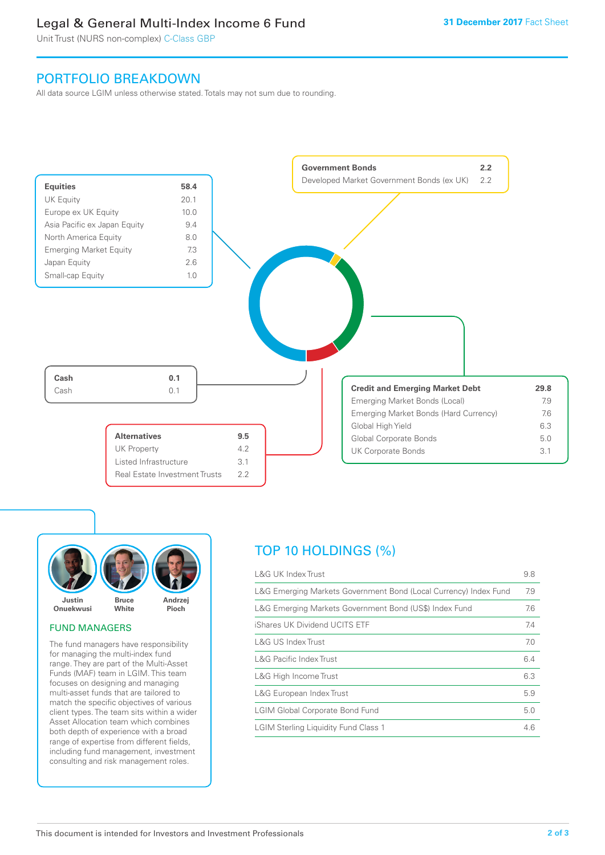# Legal & General Multi-Index Income 6 Fund

Unit Trust (NURS non-complex) C-Class GBP

## PORTFOLIO BREAKDOWN

All data source LGIM unless otherwise stated. Totals may not sum due to rounding.





#### FUND MANAGERS

The fund managers have responsibility for managing the multi-index fund range. They are part of the Multi-Asset Funds (MAF) team in LGIM. This team focuses on designing and managing multi-asset funds that are tailored to match the specific objectives of various client types. The team sits within a wider Asset Allocation team which combines both depth of experience with a broad range of expertise from different fields, including fund management, investment consulting and risk management roles.

# TOP 10 HOLDINGS (%)

| <b>L&amp;G UK Index Trust</b>                                    | 9.8 |
|------------------------------------------------------------------|-----|
| L&G Emerging Markets Government Bond (Local Currency) Index Fund | 7.9 |
| L&G Emerging Markets Government Bond (US\$) Index Fund           | 7.6 |
| iShares UK Dividend UCITS ETF                                    | 7.4 |
| L&G US Index Trust                                               | 7.0 |
| <b>L&amp;G Pacific Index Trust</b>                               | 6.4 |
| L&G High Income Trust                                            | 6.3 |
| L&G European Index Trust                                         | 5.9 |
| <b>LGIM Global Corporate Bond Fund</b>                           | 5.0 |
| <b>LGIM Sterling Liquidity Fund Class 1</b>                      | 4.6 |